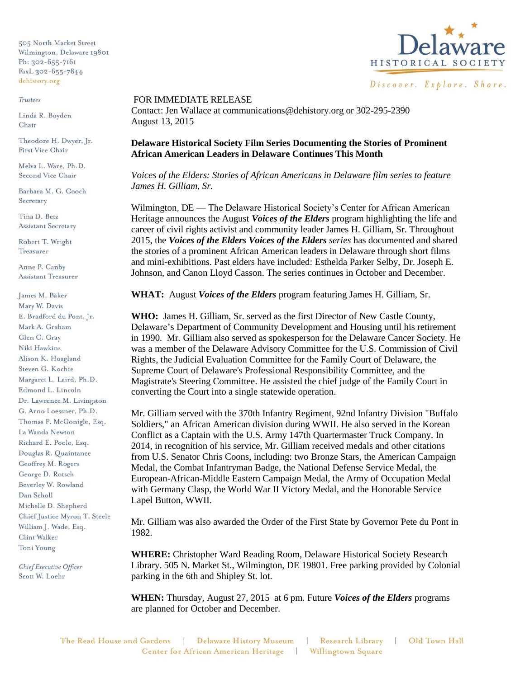505 North Market Street Wilmington, Delaware 19801 Ph: 302-655-7161 FaxL 302-655-7844 dehistory.org

## Trustees

Linda R. Boyden Chair

Theodore H. Dwyer, Jr. First Vice Chair

Melva L. Ware, Ph.D. Second Vice Chair

Barbara M. G. Cooch Secretary

Tina D. Betz **Assistant Secretary** 

Robert T. Wright Treasurer

Anne P. Canby **Assistant Treasurer** 

James M. Baker Mary W. Davis E. Bradford du Pont, Jr. Mark A. Graham Glen C. Grav Niki Hawkins Alison K. Hoagland Steven G. Kochie Margaret L. Laird, Ph.D. Edmond L. Lincoln Dr. Lawrence M. Livingston G. Arno Loessner, Ph.D. Thomas P. McGonigle, Esq. La Wanda Newton Richard E. Poole, Esq. Douglas R. Quaintance Geoffrey M. Rogers George D. Rotsch Beverley W. Rowland Dan Scholl Michelle D. Shepherd Chief Justice Myron T. Steele William J. Wade, Esq. Clint Walker Toni Young

Chief Executive Officer Scott W. Loehr



## FOR IMMEDIATE RELEASE

Contact: Jen Wallace at communications@dehistory.org or 302-295-2390 August 13, 2015

**Delaware Historical Society Film Series Documenting the Stories of Prominent African American Leaders in Delaware Continues This Month**

*Voices of the Elders: Stories of African Americans in Delaware film series to feature James H. Gilliam, Sr.* 

Wilmington, DE — The Delaware Historical Society's Center for African American Heritage announces the August *Voices of the Elders* program highlighting the life and career of civil rights activist and community leader James H. Gilliam, Sr. Throughout 2015, the *Voices of the Elders Voices of the Elders series* has documented and shared the stories of a prominent African American leaders in Delaware through short films and mini-exhibitions. Past elders have included: Esthelda Parker Selby, Dr. Joseph E. Johnson, and Canon Lloyd Casson. The series continues in October and December.

**WHAT:** August *Voices of the Elders* program featuring James H. Gilliam, Sr.

**WHO:** James H. Gilliam, Sr. served as the first Director of New Castle County, Delaware's Department of Community Development and Housing until his retirement in 1990. Mr. Gilliam also served as spokesperson for the Delaware Cancer Society. He was a member of the Delaware Advisory Committee for the U.S. Commission of Civil Rights, the Judicial Evaluation Committee for the Family Court of Delaware, the Supreme Court of Delaware's Professional Responsibility Committee, and the Magistrate's Steering Committee. He assisted the chief judge of the Family Court in converting the Court into a single statewide operation.

Mr. Gilliam served with the 370th Infantry Regiment, 92nd Infantry Division "Buffalo Soldiers," an African American division during WWII. He also served in the Korean Conflict as a Captain with the U.S. Army 147th Quartermaster Truck Company. In 2014, in recognition of his service, Mr. Gilliam received medals and other citations from U.S. Senator Chris Coons, including: two Bronze Stars, the American Campaign Medal, the Combat Infantryman Badge, the National Defense Service Medal, the European-African-Middle Eastern Campaign Medal, the Army of Occupation Medal with Germany Clasp, the World War II Victory Medal, and the Honorable Service Lapel Button, WWII.

Mr. Gilliam was also awarded the Order of the First State by Governor Pete du Pont in 1982.

**WHERE:** Christopher Ward Reading Room, Delaware Historical Society Research Library. 505 N. Market St., Wilmington, DE 19801. Free parking provided by Colonial parking in the 6th and Shipley St. lot.

**WHEN:** Thursday, August 27, 2015 at 6 pm. Future *Voices of the Elders* programs are planned for October and December.